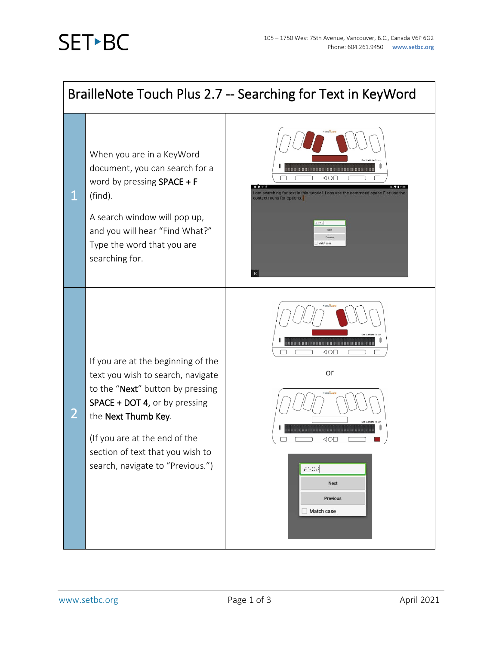## **SET-BC**

1

2

## BrailleNote Touch Plus 2.7 -- Searching for Text in KeyWord



A search window will pop up, and you will hear "Find What?" Type the word that you are searching for.





If you are at the beginning of the text you wish to search, navigate to the "Next" button by pressing SPACE + DOT 4, or by pressing the Next Thumb Key.

(If you are at the end of the section of text that you wish to search, navigate to "Previous.") or



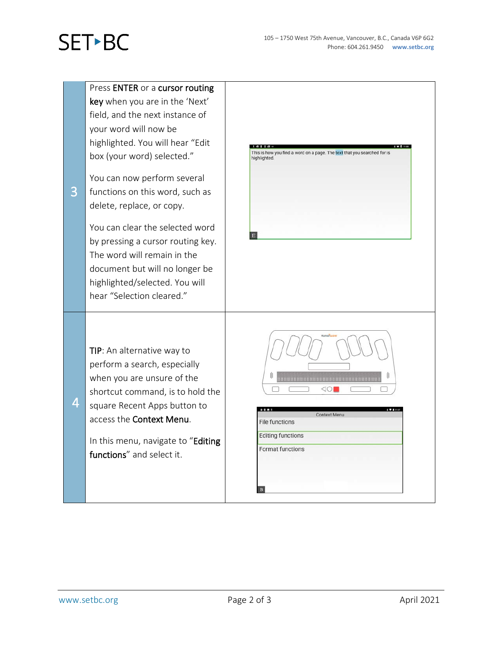